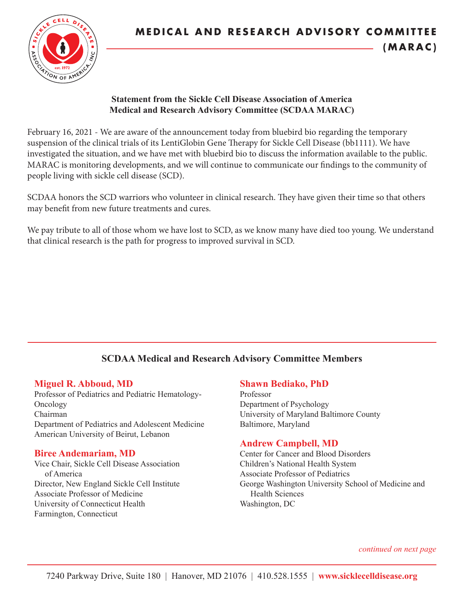

#### **Statement from the Sickle Cell Disease Association of America Medical and Research Advisory Committee (SCDAA MARAC)**

February 16, 2021 - We are aware of the announcement today from bluebird bio regarding the temporary suspension of the clinical trials of its LentiGlobin Gene Therapy for Sickle Cell Disease (bb1111). We have investigated the situation, and we have met with bluebird bio to discuss the information available to the public. MARAC is monitoring developments, and we will continue to communicate our findings to the community of people living with sickle cell disease (SCD).

SCDAA honors the SCD warriors who volunteer in clinical research. They have given their time so that others may benefit from new future treatments and cures.

We pay tribute to all of those whom we have lost to SCD, as we know many have died too young. We understand that clinical research is the path for progress to improved survival in SCD.

# **SCDAA Medical and Research Advisory Committee Members**

### **Miguel R. Abboud, MD**

Professor of Pediatrics and Pediatric Hematology-Oncology Chairman Department of Pediatrics and Adolescent Medicine American University of Beirut, Lebanon

### **Biree Andemariam, MD**

Vice Chair, Sickle Cell Disease Association of America Director, New England Sickle Cell Institute Associate Professor of Medicine University of Connecticut Health Farmington, Connecticut

### **Shawn Bediako, PhD**

Professor Department of Psychology University of Maryland Baltimore County Baltimore, Maryland

# **Andrew Campbell, MD**

Center for Cancer and Blood Disorders Children's National Health System Associate Professor of Pediatrics George Washington University School of Medicine and Health Sciences Washington, DC

 *continued on next page*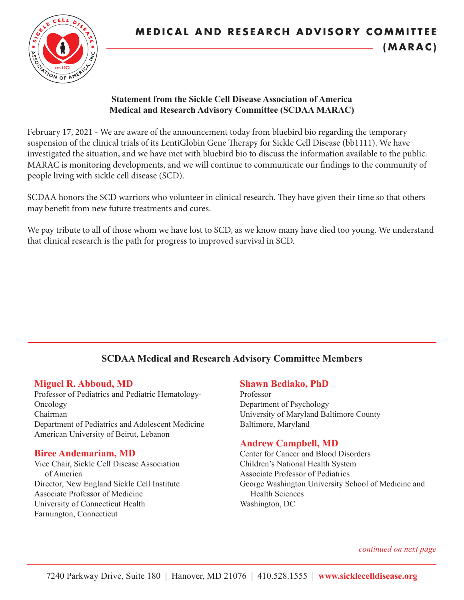

#### **Statement from the Sickle Cell Disease Association of America Medical and Research Advisory Committee (SCDAA MARAC)**

February 17, 2021 - We are aware of the announcement today from bluebird bio regarding the temporary suspension of the clinical trials of its LentiGlobin Gene Therapy for Sickle Cell Disease (bb1111). We have investigated the situation, and we have met with bluebird bio to discuss the information available to the public. MARAC is monitoring developments, and we will continue to communicate our findings to the community of people living with sickle cell disease (SCD).

SCDAA honors the SCD warriors who volunteer in clinical research. They have given their time so that others may benefit from new future treatments and cures.

We pay tribute to all of those whom we have lost to SCD, as we know many have died too young. We understand that clinical research is the path for progress to improved survival in SCD.

# **SCDAA Medical and Research Advisory Committee Members**

### **Miguel R. Abboud, MD**

Professor of Pediatrics and Pediatric Hematology-Oncology Chairman Department of Pediatrics and Adolescent Medicine American University of Beirut, Lebanon

### **Biree Andemariam, MD**

Vice Chair, Sickle Cell Disease Association of America Director, New England Sickle Cell Institute Associate Professor of Medicine University of Connecticut Health Farmington, Connecticut

### **Shawn Bediako, PhD**

Professor Department of Psychology University of Maryland Baltimore County Baltimore, Maryland

# **Andrew Campbell, MD**

Center for Cancer and Blood Disorders Children's National Health System Associate Professor of Pediatrics George Washington University School of Medicine and Health Sciences Washington, DC

 *continued on next page*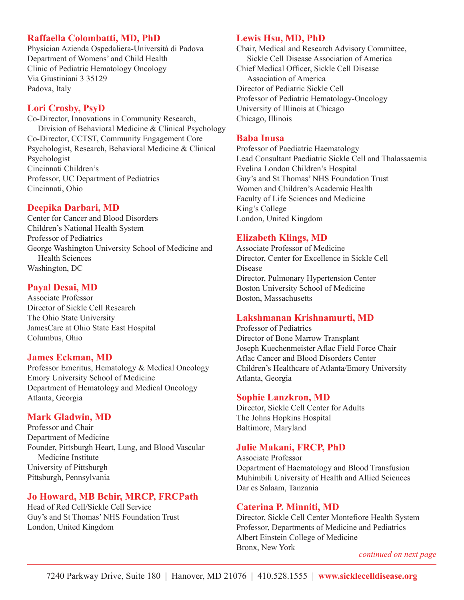# **Raffaella Colombatti, MD, PhD**

Physician Azienda Ospedaliera-Università di Padova Department of Womens' and Child Health Clinic of Pediatric Hematology Oncology Via Giustiniani 3 35129 Padova, Italy

### **Lori Crosby, PsyD**

Co-Director, Innovations in Community Research, Division of Behavioral Medicine & Clinical Psychology Co-Director, CCTST, Community Engagement Core Psychologist, Research, Behavioral Medicine & Clinical Psychologist Cincinnati Children's Professor, UC Department of Pediatrics Cincinnati, Ohio

### **Deepika Darbari, MD**

Center for Cancer and Blood Disorders Children's National Health System Professor of Pediatrics George Washington University School of Medicine and Health Sciences Washington, DC

### **Payal Desai, MD**

Associate Professor Director of Sickle Cell Research The Ohio State University JamesCare at Ohio State East Hospital Columbus, Ohio

### **James Eckman, MD**

Professor Emeritus, Hematology & Medical Oncology Emory University School of Medicine Department of Hematology and Medical Oncology Atlanta, Georgia

### **Mark Gladwin, MD**

Professor and Chair Department of Medicine Founder, Pittsburgh Heart, Lung, and Blood Vascular Medicine Institute University of Pittsburgh Pittsburgh, Pennsylvania

# **Jo Howard, MB Bchir, MRCP, FRCPath**

Head of Red Cell/Sickle Cell Service Guy's and St Thomas' NHS Foundation Trust London, United Kingdom

### **Lewis Hsu, MD, PhD**

Chair, Medical and Research Advisory Committee, Sickle Cell Disease Association of America Chief Medical Officer, Sickle Cell Disease Association of America Director of Pediatric Sickle Cell Professor of Pediatric Hematology-Oncology University of Illinois at Chicago Chicago, Illinois

#### **Baba Inusa**

Professor of Paediatric Haematology Lead Consultant Paediatric Sickle Cell and Thalassaemia Evelina London Children's Hospital Guy's and St Thomas' NHS Foundation Trust Women and Children's Academic Health Faculty of Life Sciences and Medicine King's College London, United Kingdom

# **Elizabeth Klings, MD**

Associate Professor of Medicine Director, Center for Excellence in Sickle Cell Disease Director, Pulmonary Hypertension Center Boston University School of Medicine Boston, Massachusetts

# **Lakshmanan Krishnamurti, MD**

Professor of Pediatrics Director of Bone Marrow Transplant Joseph Kuechenmeister Aflac Field Force Chair Aflac Cancer and Blood Disorders Center Children's Healthcare of Atlanta/Emory University Atlanta, Georgia

### **Sophie Lanzkron, MD**

Director, Sickle Cell Center for Adults The Johns Hopkins Hospital Baltimore, Maryland

### **Julie Makani, FRCP, PhD**

Associate Professor Department of Haematology and Blood Transfusion Muhimbili University of Health and Allied Sciences Dar es Salaam, Tanzania

### **Caterina P. Minniti, MD**

Director, Sickle Cell Center Montefiore Health System Professor, Departments of Medicine and Pediatrics Albert Einstein College of Medicine Bronx, New York *continued on next page*